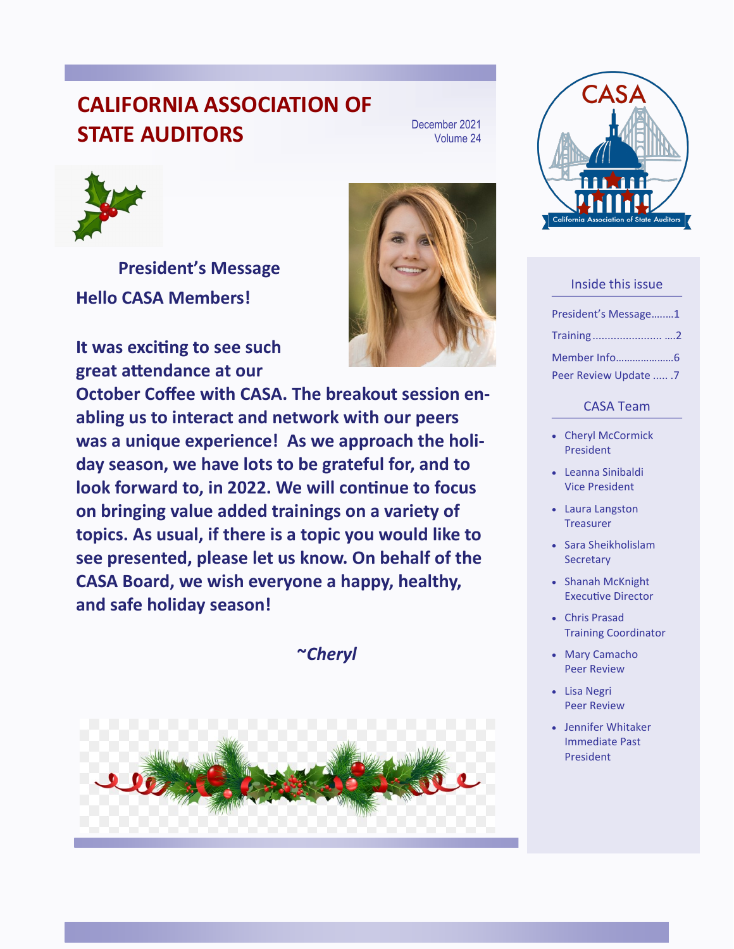## **CALIFORNIA ASSOCIATION OF STATE AUDITORS**

December 2021 Volume 24



**President's Message Hello CASA Members!**

**It was exciting to see such great attendance at our** 

**October Coffee with CASA. The breakout session enabling us to interact and network with our peers was a unique experience! As we approach the holiday season, we have lots to be grateful for, and to look forward to, in 2022. We will continue to focus on bringing value added trainings on a variety of topics. As usual, if there is a topic you would like to see presented, please let us know. On behalf of the CASA Board, we wish everyone a happy, healthy, and safe holiday season!** 

**~***Cheryl*





#### Inside this issue

| President's Message1   |  |
|------------------------|--|
| Training2              |  |
|                        |  |
| Peer Review Update  .7 |  |

#### CASA Team

- Cheryl McCormick President
- Leanna Sinibaldi Vice President
- Laura Langston **Treasurer**
- Sara Sheikholislam **Secretary**
- Shanah McKnight Executive Director
- Chris Prasad Training Coordinator
- Mary Camacho Peer Review
- Lisa Negri Peer Review
- Jennifer Whitaker Immediate Past President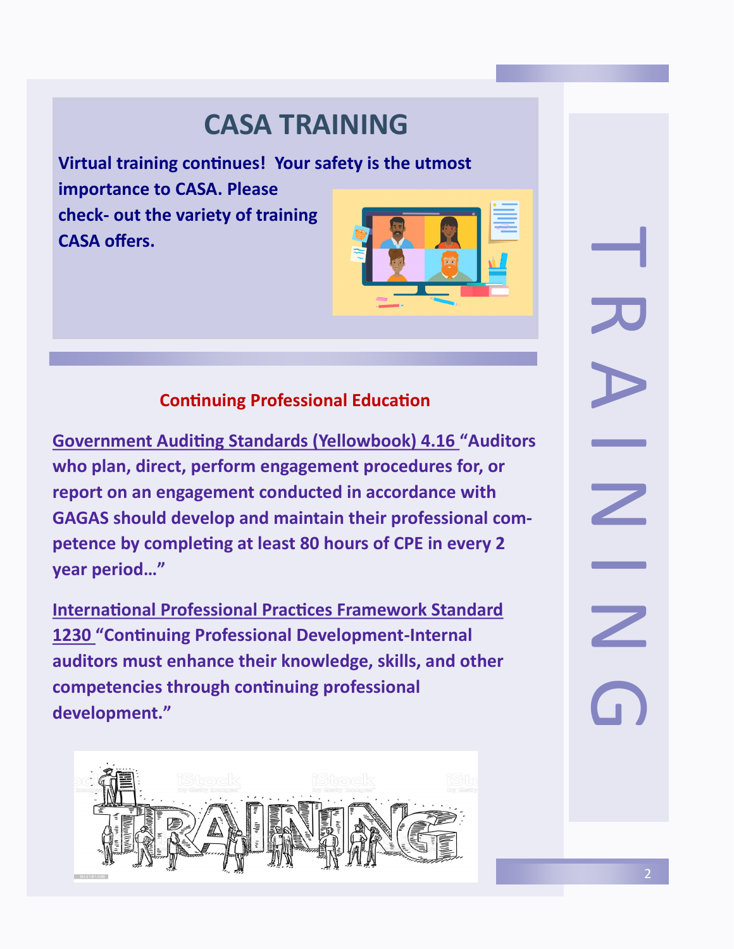# **CASA TRAINING**

**Virtual training continues! Your safety is the utmost importance to CASA. Please check- out the variety of training CASA offers.** 



### **Continuing Professional Education**

**Government Auditing Standards (Yellowbook) 4.16 "Auditors who plan, direct, perform engagement procedures for, or report on an engagement conducted in accordance with GAGAS should develop and maintain their professional competence by completing at least 80 hours of CPE in every 2 year period…"**

**International Professional Practices Framework Standard 1230 "Continuing Professional Development-Internal auditors must enhance their knowledge, skills, and other competencies through continuing professional development."**

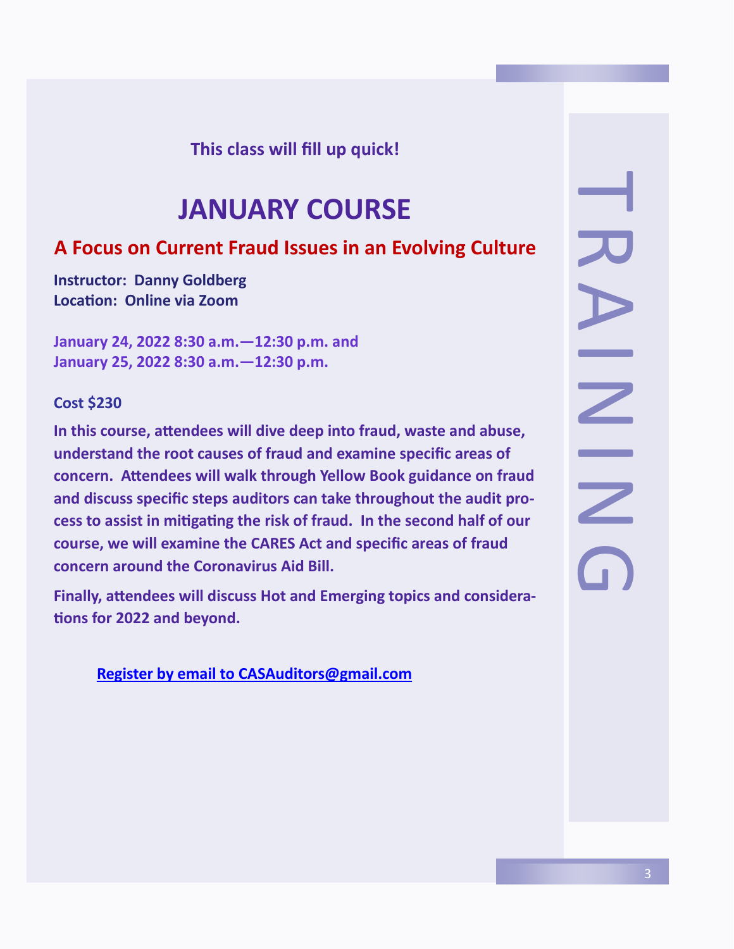### **This class will fill up quick!**

# **JANUARY COURSE**

### **A Focus on Current Fraud Issues in an Evolving Culture**

**Instructor: Danny Goldberg Location: Online via Zoom**

**January 24, 2022 8:30 a.m.—12:30 p.m. and January 25, 2022 8:30 a.m.—12:30 p.m.**

#### **Cost \$230**

**In this course, attendees will dive deep into fraud, waste and abuse, understand the root causes of fraud and examine specific areas of concern. Attendees will walk through Yellow Book guidance on fraud and discuss specific steps auditors can take throughout the audit process to assist in mitigating the risk of fraud. In the second half of our course, we will examine the CARES Act and specific areas of fraud concern around the Coronavirus Aid Bill.** 

**Finally, attendees will discuss Hot and Emerging topics and considerations for 2022 and beyond.** 

**Register by email to [CASAuditors@gmail.com](https://www.casa1.org/classes-by-year-2/icalrepeat.detail/2021/10/20/209/19%7C18%7C17%7C29/coffee-with-casa?filter_reset=1)** 

H R A I N A<br>N A<br>O<br>N G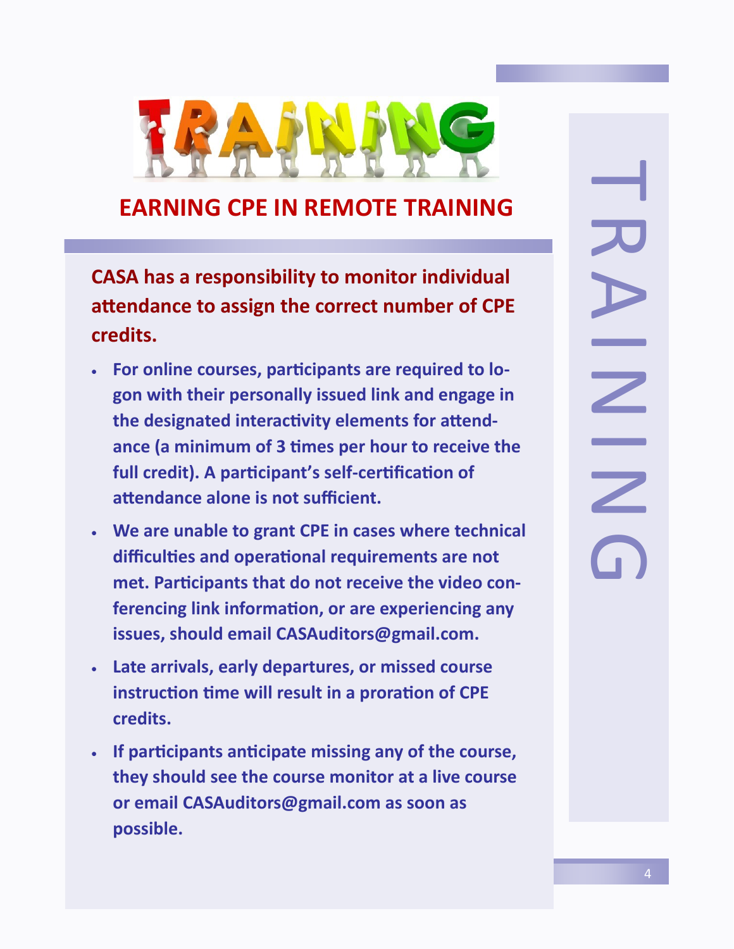

## **EARNING CPE IN REMOTE TRAINING**

**CASA has a responsibility to monitor individual attendance to assign the correct number of CPE credits.**

- **For online courses, participants are required to logon with their personally issued link and engage in the designated interactivity elements for attendance (a minimum of 3 times per hour to receive the full credit). A participant's self-certification of attendance alone is not sufficient.**
- **We are unable to grant CPE in cases where technical difficulties and operational requirements are not met. Participants that do not receive the video conferencing link information, or are experiencing any issues, should email CASAuditors@gmail.com.**
- **Late arrivals, early departures, or missed course instruction time will result in a proration of CPE credits.**
- **If participants anticipate missing any of the course, they should see the course monitor at a live course or email CASAuditors@gmail.com as soon as possible.**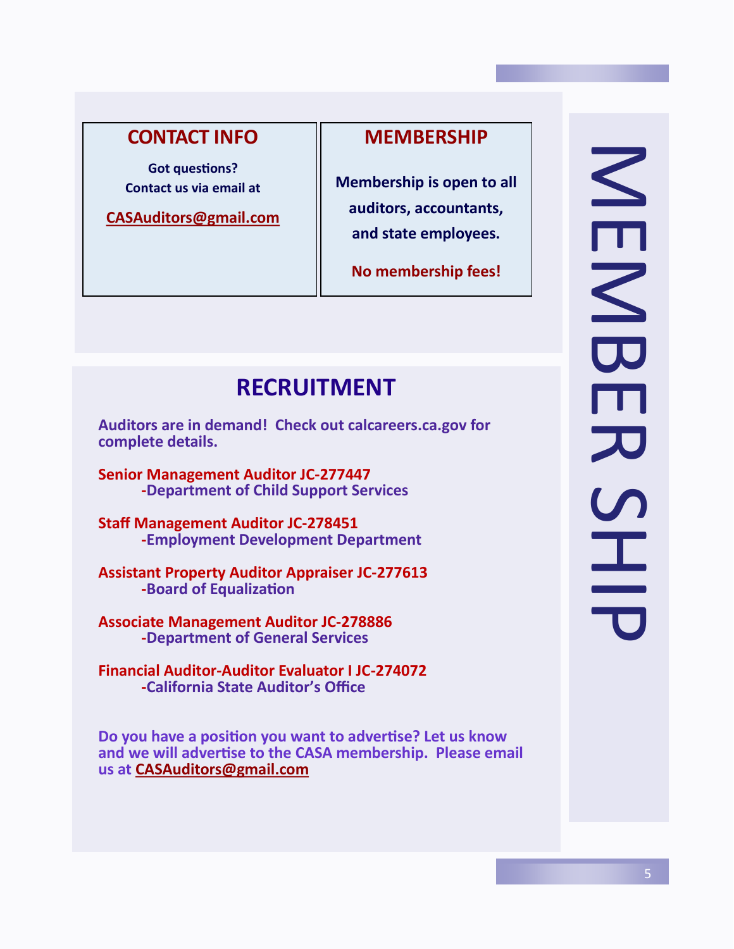### **CONTACT INFO**

**Got questions? Contact us via email at**

**[CASAuditors@gmail.com](mailto:CASAuditors@gmail.com)**

#### **MEMBERSHIP**

**Membership is open to all auditors, accountants, and state employees.**

**No membership fees!**

# **RECRUITMENT**

**Auditors are in demand! Check out calcareers.ca.gov for complete details.**

**Senior Management Auditor JC-277447 -Department of Child Support Services**

**Staff Management Auditor JC-278451 -Employment Development Department**

**Assistant Property Auditor Appraiser JC-277613 -Board of Equalization**

**Associate Management Auditor JC-278886 -Department of General Services**

**Financial Auditor-Auditor Evaluator I JC-274072 -California State Auditor's Office**

**Do you have a position you want to advertise? Let us know and we will advertise to the CASA membership. Please email us at [CASAuditors@gmail.com](mailto:CASAuditors@gmail.com)**

NER<br>MEMBER<br>HHE NENBE アコラニ